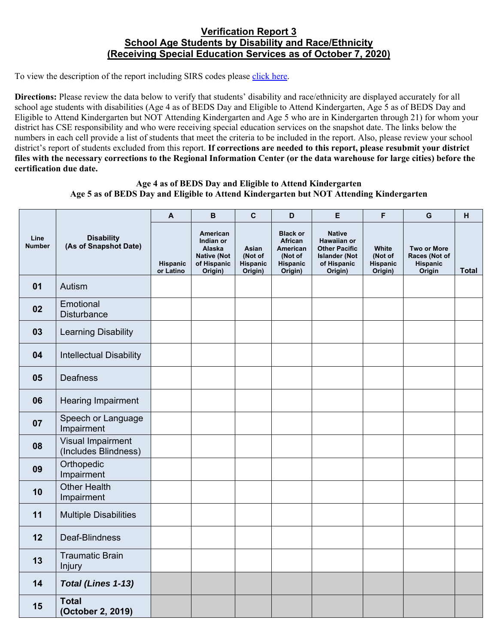## **Verification Report 3 School Age Students by Disability and Race/Ethnicity (Receiving Special Education Services as of October 7, 2020)**

To view the description of the report including SIRS codes please click here.

**Directions:** Please review the data below to verify that students' disability and race/ethnicity are displayed accurately for all school age students with disabilities (Age 4 as of BEDS Day and Eligible to Attend Kindergarten, Age 5 as of BEDS Day and Eligible to Attend Kindergarten but NOT Attending Kindergarten and Age 5 who are in Kindergarten through 21) for whom your district has CSE responsibility and who were receiving special education services on the snapshot date. The links below the numbers in each cell provide a list of students that meet the criteria to be included in the report. Also, please review your school district's report of students excluded from this report. **If corrections are needed to this report, please resubmit your district files with the necessary corrections to the Regional Information Center (or the data warehouse for large cities) before the certification due date.**

## **Age 4 as of BEDS Day and Eligible to Attend Kindergarten Age 5 as of BEDS Day and Eligible to Attend Kindergarten but NOT Attending Kindergarten**

|                       |                                            | $\mathbf{A}$                 | B                                                                               | C                                       | D                                                                        | E                                                                                                      | F                                              | G                                                         | H            |
|-----------------------|--------------------------------------------|------------------------------|---------------------------------------------------------------------------------|-----------------------------------------|--------------------------------------------------------------------------|--------------------------------------------------------------------------------------------------------|------------------------------------------------|-----------------------------------------------------------|--------------|
| Line<br><b>Number</b> | <b>Disability</b><br>(As of Snapshot Date) | <b>Hispanic</b><br>or Latino | American<br>Indian or<br>Alaska<br><b>Native (Not</b><br>of Hispanic<br>Origin) | Asian<br>(Not of<br>Hispanic<br>Origin) | <b>Black or</b><br>African<br>American<br>(Not of<br>Hispanic<br>Origin) | <b>Native</b><br>Hawaiian or<br><b>Other Pacific</b><br><b>Islander (Not</b><br>of Hispanic<br>Origin) | White<br>(Not of<br><b>Hispanic</b><br>Origin) | <b>Two or More</b><br>Races (Not of<br>Hispanic<br>Origin | <b>Total</b> |
| 01                    | Autism                                     |                              |                                                                                 |                                         |                                                                          |                                                                                                        |                                                |                                                           |              |
| 02                    | Emotional<br><b>Disturbance</b>            |                              |                                                                                 |                                         |                                                                          |                                                                                                        |                                                |                                                           |              |
| 03                    | <b>Learning Disability</b>                 |                              |                                                                                 |                                         |                                                                          |                                                                                                        |                                                |                                                           |              |
| 04                    | <b>Intellectual Disability</b>             |                              |                                                                                 |                                         |                                                                          |                                                                                                        |                                                |                                                           |              |
| 05                    | <b>Deafness</b>                            |                              |                                                                                 |                                         |                                                                          |                                                                                                        |                                                |                                                           |              |
| 06                    | <b>Hearing Impairment</b>                  |                              |                                                                                 |                                         |                                                                          |                                                                                                        |                                                |                                                           |              |
| 07                    | Speech or Language<br>Impairment           |                              |                                                                                 |                                         |                                                                          |                                                                                                        |                                                |                                                           |              |
| 08                    | Visual Impairment<br>(Includes Blindness)  |                              |                                                                                 |                                         |                                                                          |                                                                                                        |                                                |                                                           |              |
| 09                    | Orthopedic<br>Impairment                   |                              |                                                                                 |                                         |                                                                          |                                                                                                        |                                                |                                                           |              |
| 10                    | <b>Other Health</b><br>Impairment          |                              |                                                                                 |                                         |                                                                          |                                                                                                        |                                                |                                                           |              |
| 11                    | <b>Multiple Disabilities</b>               |                              |                                                                                 |                                         |                                                                          |                                                                                                        |                                                |                                                           |              |
| 12                    | Deaf-Blindness                             |                              |                                                                                 |                                         |                                                                          |                                                                                                        |                                                |                                                           |              |
| 13                    | <b>Traumatic Brain</b><br><b>Injury</b>    |                              |                                                                                 |                                         |                                                                          |                                                                                                        |                                                |                                                           |              |
| 14                    | Total (Lines 1-13)                         |                              |                                                                                 |                                         |                                                                          |                                                                                                        |                                                |                                                           |              |
| 15                    | <b>Total</b><br>(October 2, 2019)          |                              |                                                                                 |                                         |                                                                          |                                                                                                        |                                                |                                                           |              |